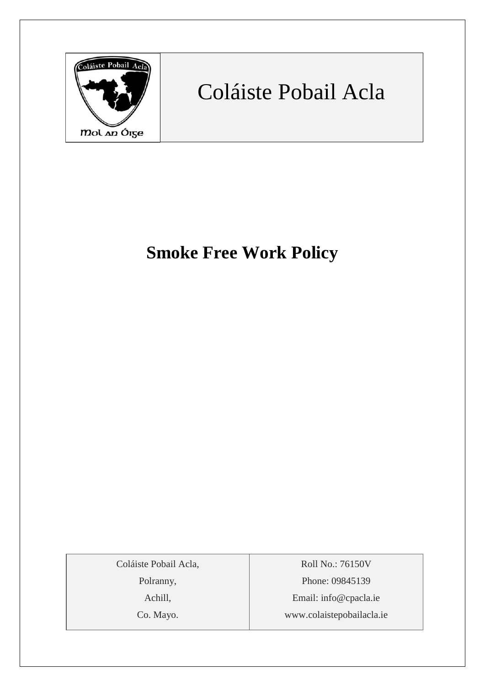

# Coláiste Pobail Acla

# **Smoke Free Work Policy**

Coláiste Pobail Acla,

Polranny,

Achill,

Co. Mayo.

Roll No.: 76150V Phone: 09845139 Email: [info@cpacla.ie](mailto:info@cpacla.ie) www.colaistepobailacla.ie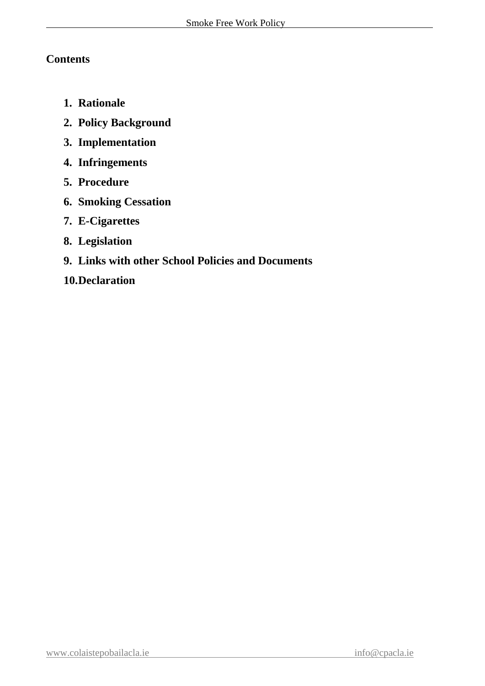#### **Contents**

- **1. Rationale**
- **2. Policy Background**
- **3. Implementation**
- **4. Infringements**
- **5. Procedure**
- **6. Smoking Cessation**
- **7. E-Cigarettes**
- **8. Legislation**
- **9. Links with other School Policies and Documents**
- **10.Declaration**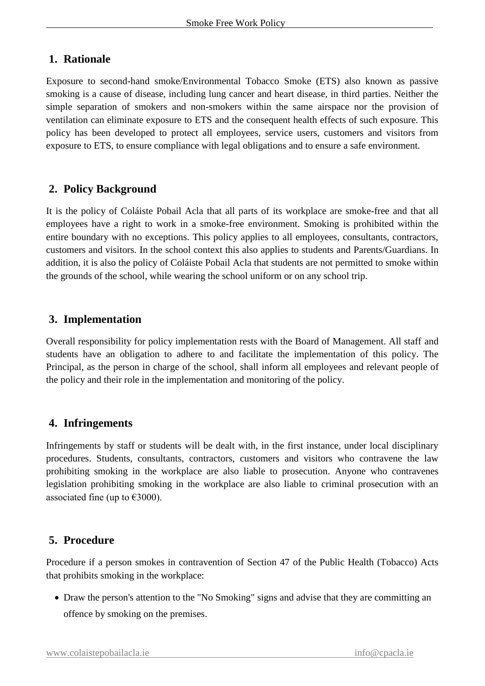# **1. Rationale**

Exposure to second-hand smoke/Environmental Tobacco Smoke (ETS) also known as passive smoking is a cause of disease, including lung cancer and heart disease, in third parties. Neither the simple separation of smokers and non-smokers within the same airspace nor the provision of ventilation can eliminate exposure to ETS and the consequent health effects of such exposure. This policy has been developed to protect all employees, service users, customers and visitors from exposure to ETS, to ensure compliance with legal obligations and to ensure a safe environment.

# **2. Policy Background**

It is the policy of Coláiste Pobail Acla that all parts of its workplace are smoke-free and that all employees have a right to work in a smoke-free environment. Smoking is prohibited within the entire boundary with no exceptions. This policy applies to all employees, consultants, contractors, customers and visitors. In the school context this also applies to students and Parents/Guardians. In addition, it is also the policy of Coláiste Pobail Acla that students are not permitted to smoke within the grounds of the school, while wearing the school uniform or on any school trip.

### **3. Implementation**

Overall responsibility for policy implementation rests with the Board of Management. All staff and students have an obligation to adhere to and facilitate the implementation of this policy. The Principal, as the person in charge of the school, shall inform all employees and relevant people of the policy and their role in the implementation and monitoring of the policy.

#### **4. Infringements**

Infringements by staff or students will be dealt with, in the first instance, under local disciplinary procedures. Students, consultants, contractors, customers and visitors who contravene the law prohibiting smoking in the workplace are also liable to prosecution. Anyone who contravenes legislation prohibiting smoking in the workplace are also liable to criminal prosecution with an associated fine (up to  $\epsilon$ 3000).

# **5. Procedure**

Procedure if a person smokes in contravention of Section 47 of the Public Health (Tobacco) Acts that prohibits smoking in the workplace:

• Draw the person's attention to the "No Smoking" signs and advise that they are committing an offence by smoking on the premises.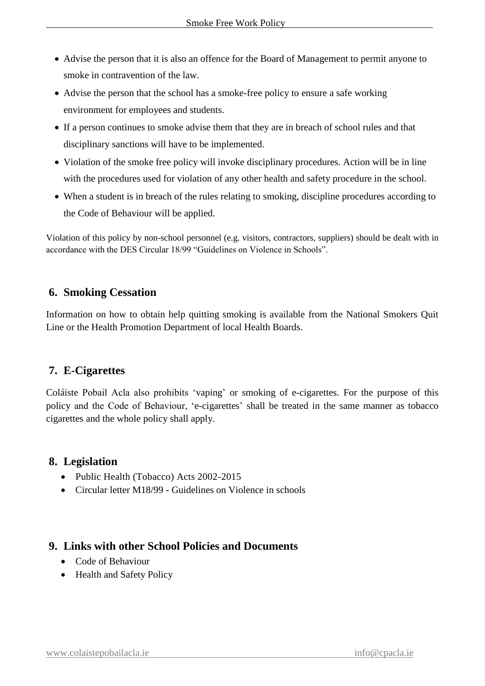- Advise the person that it is also an offence for the Board of Management to permit anyone to smoke in contravention of the law.
- Advise the person that the school has a smoke-free policy to ensure a safe working environment for employees and students.
- If a person continues to smoke advise them that they are in breach of school rules and that disciplinary sanctions will have to be implemented.
- Violation of the smoke free policy will invoke disciplinary procedures. Action will be in line with the procedures used for violation of any other health and safety procedure in the school.
- When a student is in breach of the rules relating to smoking, discipline procedures according to the Code of Behaviour will be applied.

Violation of this policy by non-school personnel (e.g. visitors, contractors, suppliers) should be dealt with in accordance with the DES Circular 18/99 "Guidelines on Violence in Schools".

### **6. Smoking Cessation**

Information on how to obtain help quitting smoking is available from the National Smokers Quit Line or the Health Promotion Department of local Health Boards.

# **7. E-Cigarettes**

Coláiste Pobail Acla also prohibits 'vaping' or smoking of e-cigarettes. For the purpose of this policy and the Code of Behaviour, 'e-cigarettes' shall be treated in the same manner as tobacco cigarettes and the whole policy shall apply.

#### **8. Legislation**

- [Public Health \(Tobacco\) Acts 2002-2015](http://www.irishstatutebook.ie/eli/2002/act/6/enacted/en/html)
- Circular letter M18/99 Guidelines on Violence in schools

#### **9. Links with other School Policies and Documents**

- Code of Behaviour
- Health and Safety Policy